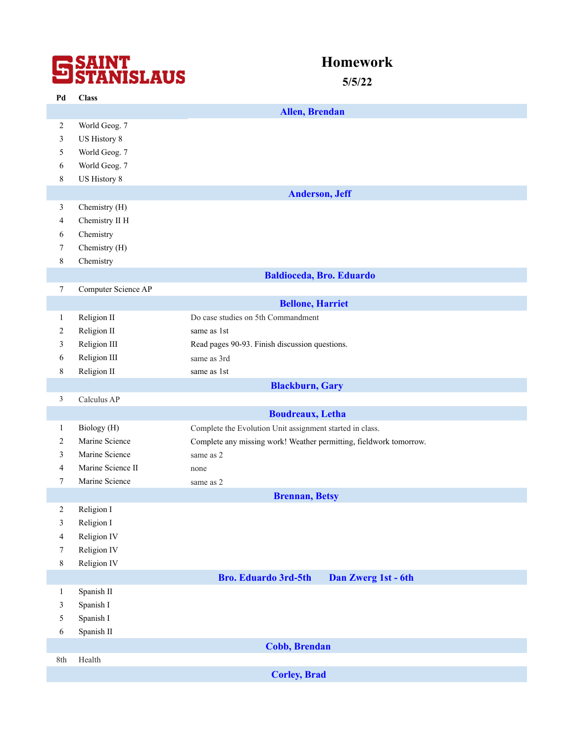## **SSAINT**<br>STANISLAUS

## **Homework**

**5/5/22**

| Pd                      | <b>Class</b>        |                                                                    |
|-------------------------|---------------------|--------------------------------------------------------------------|
|                         |                     | <b>Allen, Brendan</b>                                              |
| $\overline{c}$          | World Geog. 7       |                                                                    |
| 3                       | US History 8        |                                                                    |
| 5                       | World Geog. 7       |                                                                    |
| 6                       | World Geog. 7       |                                                                    |
| 8                       | US History 8        |                                                                    |
|                         |                     | <b>Anderson, Jeff</b>                                              |
| 3                       | Chemistry (H)       |                                                                    |
| 4                       | Chemistry II H      |                                                                    |
| 6                       | Chemistry           |                                                                    |
| 7                       | Chemistry (H)       |                                                                    |
| $8\,$                   | Chemistry           |                                                                    |
|                         |                     | <b>Baldioceda, Bro. Eduardo</b>                                    |
| $\tau$                  | Computer Science AP |                                                                    |
|                         |                     | <b>Bellone, Harriet</b>                                            |
| $\mathbf{1}$            | Religion II         | Do case studies on 5th Commandment                                 |
| $\overline{2}$          | Religion II         | same as 1st                                                        |
| 3                       | Religion III        | Read pages 90-93. Finish discussion questions.                     |
| 6                       | Religion III        | same as 3rd                                                        |
| 8                       | Religion II         | same as 1st                                                        |
|                         |                     | <b>Blackburn</b> , Gary                                            |
| $\mathfrak{Z}$          | Calculus AP         |                                                                    |
|                         |                     | <b>Boudreaux</b> , Letha                                           |
| $\mathbf{1}$            | Biology (H)         | Complete the Evolution Unit assignment started in class.           |
| $\overline{c}$          | Marine Science      | Complete any missing work! Weather permitting, fieldwork tomorrow. |
| 3                       | Marine Science      | same as 2                                                          |
| $\overline{4}$          | Marine Science II   | none                                                               |
| $7\phantom{.0}$         | Marine Science      | same as 2                                                          |
|                         |                     | <b>Brennan</b> , Betsy                                             |
| 2                       | Religion I          |                                                                    |
| 3                       | Religion I          |                                                                    |
| $\overline{\mathbf{4}}$ | Religion IV         |                                                                    |
| $\tau$                  | Religion IV         |                                                                    |
| 8                       | Religion IV         |                                                                    |
|                         |                     | <b>Bro. Eduardo 3rd-5th</b><br>Dan Zwerg 1st - 6th                 |
| $\mathbf{1}$            | Spanish II          |                                                                    |
| 3                       | Spanish I           |                                                                    |
| 5                       | Spanish I           |                                                                    |
| 6                       | Spanish II          |                                                                    |
|                         |                     | <b>Cobb, Brendan</b>                                               |
| 8th                     | Health              |                                                                    |
|                         |                     | <b>Corley, Brad</b>                                                |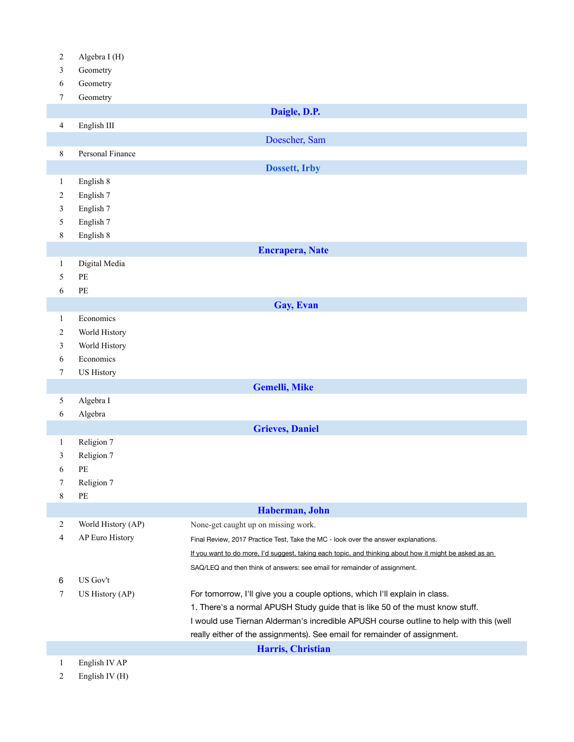| Algebra I (H) |  |
|---------------|--|
|---------------|--|

- Geometry
- Geometry
- Geometry

| $\prime$       | Geometry                              |                                                                                                        |
|----------------|---------------------------------------|--------------------------------------------------------------------------------------------------------|
|                |                                       | Daigle, D.P.                                                                                           |
| $\overline{4}$ | English III                           |                                                                                                        |
|                |                                       | Doescher, Sam                                                                                          |
| 8              | Personal Finance                      |                                                                                                        |
|                |                                       | <b>Dossett, Irby</b>                                                                                   |
|                |                                       |                                                                                                        |
| $\mathbf{1}$   | English 8                             |                                                                                                        |
| $\overline{2}$ | English 7                             |                                                                                                        |
| 3              | English 7                             |                                                                                                        |
| 5              | English 7                             |                                                                                                        |
| 8              | English 8                             |                                                                                                        |
|                |                                       | <b>Encrapera, Nate</b>                                                                                 |
| $\mathbf{1}$   | Digital Media                         |                                                                                                        |
| 5              | $\ensuremath{\mathop{\text{\rm PE}}}$ |                                                                                                        |
| 6              | $\ensuremath{\mathop{\text{\rm PE}}}$ |                                                                                                        |
|                |                                       | Gay, Evan                                                                                              |
| $\mathbf{1}$   | Economics                             |                                                                                                        |
| $\overline{c}$ | World History                         |                                                                                                        |
| $\mathfrak{Z}$ | World History                         |                                                                                                        |
| 6              | Economics                             |                                                                                                        |
| 7              | <b>US History</b>                     |                                                                                                        |
|                |                                       | <b>Gemelli, Mike</b>                                                                                   |
| 5              | Algebra I                             |                                                                                                        |
| 6              | Algebra                               |                                                                                                        |
|                |                                       | <b>Grieves, Daniel</b>                                                                                 |
| $\mathbf{1}$   | Religion 7                            |                                                                                                        |
| 3              | Religion 7                            |                                                                                                        |
| 6              | PE                                    |                                                                                                        |
| 7              | Religion 7                            |                                                                                                        |
| $\,$ $\,$      | $\rm PE$                              |                                                                                                        |
|                |                                       | Haberman, John                                                                                         |
| $\overline{c}$ | World History (AP)                    | None-get caught up on missing work.                                                                    |
| 4              | AP Euro History                       | Final Review, 2017 Practice Test, Take the MC - look over the answer explanations.                     |
|                |                                       | If you want to do more, I'd suggest, taking each topic, and thinking about how it might be asked as an |
|                |                                       | SAQ/LEQ and then think of answers: see email for remainder of assignment.                              |
| 6              | US Gov't                              |                                                                                                        |
| 7              | US History (AP)                       | For tomorrow, I'll give you a couple options, which I'll explain in class.                             |
|                |                                       | 1. There's a normal APUSH Study guide that is like 50 of the must know stuff.                          |
|                |                                       | I would use Tiernan Alderman's incredible APUSH course outline to help with this (well                 |
|                |                                       | really either of the assignments). See email for remainder of assignment.                              |
|                |                                       | Harris, Christian                                                                                      |
| $\mathbf{1}$   | English IV AP                         |                                                                                                        |

English IV (H)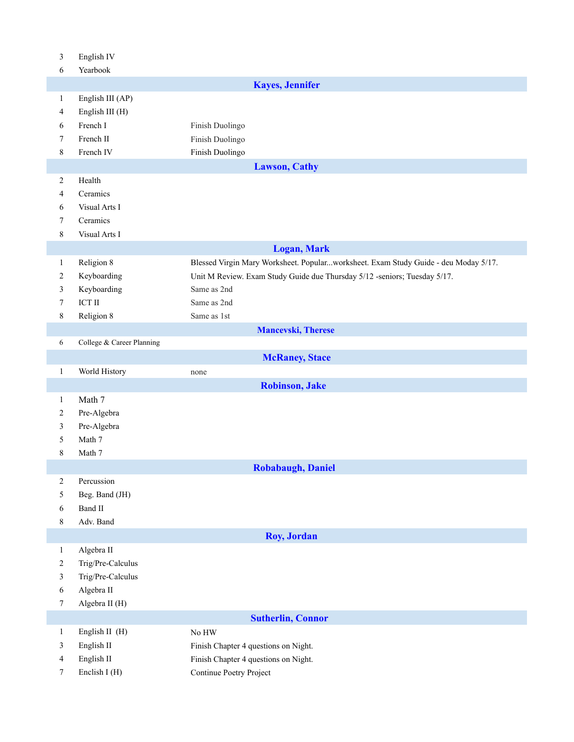| 3                | English IV                |                                                                                     |
|------------------|---------------------------|-------------------------------------------------------------------------------------|
| 6                | Yearbook                  |                                                                                     |
|                  |                           | <b>Kayes, Jennifer</b>                                                              |
| $\mathbf{1}$     | English III (AP)          |                                                                                     |
| $\overline{4}$   | English III (H)           |                                                                                     |
| 6                | French I                  | Finish Duolingo                                                                     |
| 7                | French II                 | Finish Duolingo                                                                     |
| 8                | French IV                 | Finish Duolingo                                                                     |
|                  |                           | <b>Lawson, Cathy</b>                                                                |
| $\sqrt{2}$       | Health                    |                                                                                     |
| $\overline{4}$   | Ceramics                  |                                                                                     |
| 6                | Visual Arts I             |                                                                                     |
| 7                | Ceramics                  |                                                                                     |
| 8                | Visual Arts I             |                                                                                     |
|                  |                           | <b>Logan, Mark</b>                                                                  |
| 1                | Religion 8                | Blessed Virgin Mary Worksheet. Popularworksheet. Exam Study Guide - deu Moday 5/17. |
| $\overline{c}$   | Keyboarding               | Unit M Review. Exam Study Guide due Thursday 5/12 -seniors; Tuesday 5/17.           |
| 3                | Keyboarding               | Same as 2nd                                                                         |
| 7                | $\operatorname{ICT} \Pi$  | Same as 2nd                                                                         |
| 8                | Religion 8                | Same as 1st                                                                         |
|                  |                           | <b>Mancevski</b> , Therese                                                          |
| 6                | College & Career Planning |                                                                                     |
|                  |                           | <b>McRaney, Stace</b>                                                               |
| $\mathbf{1}$     | World History             | none                                                                                |
|                  |                           | <b>Robinson, Jake</b>                                                               |
| $\mathbf{1}$     | Math 7                    |                                                                                     |
| $\overline{c}$   | Pre-Algebra               |                                                                                     |
| 3                | Pre-Algebra               |                                                                                     |
| 5                | Math 7                    |                                                                                     |
| $8\,$            | Math 7                    |                                                                                     |
|                  |                           | <b>Robabaugh, Daniel</b>                                                            |
| $\sqrt{2}$       | Percussion                |                                                                                     |
| 5                | Beg. Band (JH)            |                                                                                     |
| 6                | Band II                   |                                                                                     |
| $8\,$            | Adv. Band                 |                                                                                     |
|                  |                           | <b>Roy, Jordan</b>                                                                  |
| $\mathbf{1}$     | Algebra II                |                                                                                     |
| $\overline{c}$   | Trig/Pre-Calculus         |                                                                                     |
| 3                | Trig/Pre-Calculus         |                                                                                     |
| $\sqrt{6}$       | Algebra II                |                                                                                     |
| $\boldsymbol{7}$ | Algebra II (H)            |                                                                                     |
|                  |                           | <b>Sutherlin, Connor</b>                                                            |
| $\mathbf{1}$     | English II (H)            | $\rm No~HW$                                                                         |
| 3                | English II                | Finish Chapter 4 questions on Night.                                                |
| 4                | English II                | Finish Chapter 4 questions on Night.                                                |
|                  | Enclish I (H)             | Continue Poetry Project                                                             |